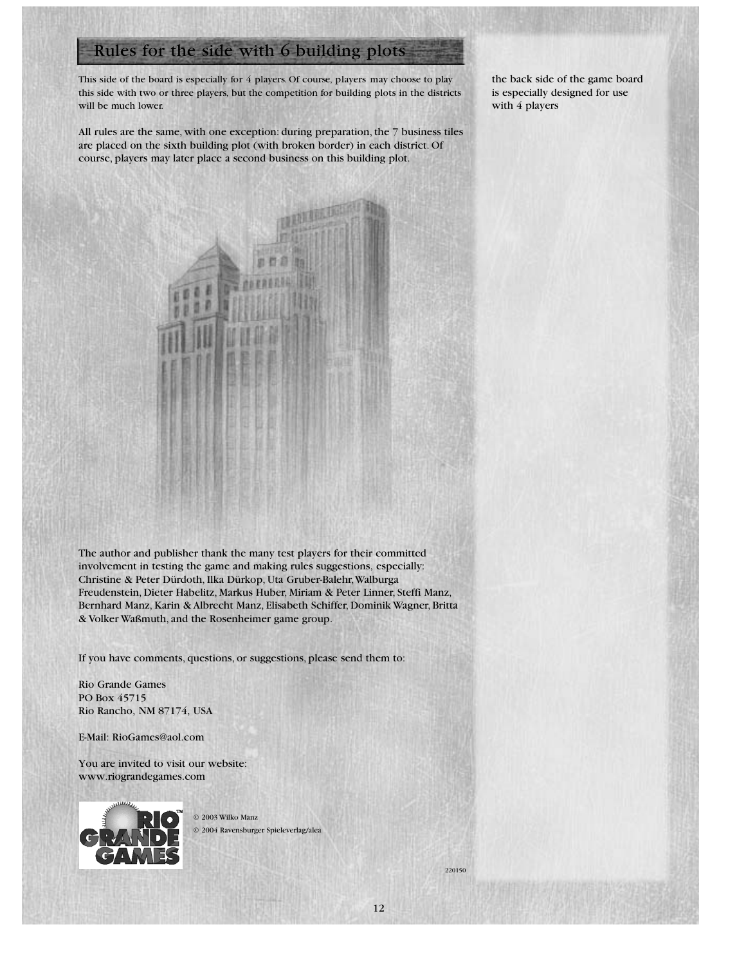# Rules for the side with 6 building plots

This side of the board is especially for 4 players. Of course, players may choose to play this side with two or three players, but the competition for building plots in the districts will be much lower.

the back side of the game board is especially designed for use with 4 players

All rules are the same, with one exception: during preparation, the 7 business tiles are placed on the sixth building plot (with broken border) in each district. Of course, players may later place a second business on this building plot.



If you have comments, questions, or suggestions, please send them to:

Rio Grande Games PO Box 45715 Rio Rancho, NM 87174, USA

E-Mail: RioGames@aol.com

You are invited to visit our website: www.riograndegames.com



© 2003 Wilko Manz © 2004 Ravensburger Spieleverlag/alea

12

220150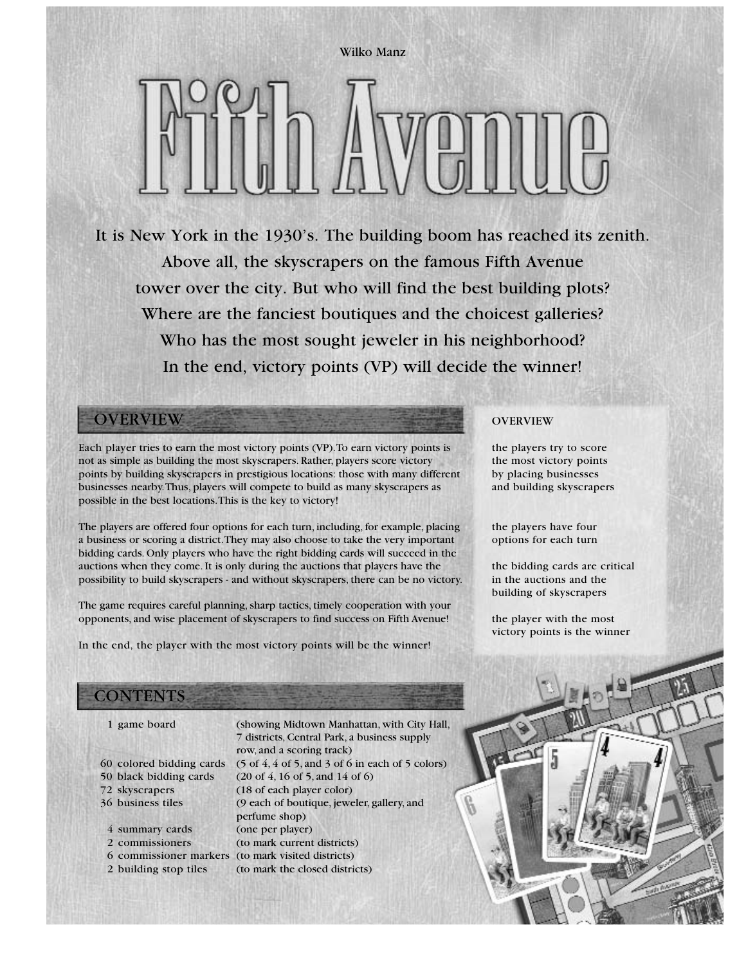Wilko Manz

It is New York in the 1930's. The building boom has reached its zenith. Above all, the skyscrapers on the famous Fifth Avenue tower over the city. But who will find the best building plots? Where are the fanciest boutiques and the choicest galleries? Who has the most sought jeweler in his neighborhood? In the end, victory points (VP) will decide the winner!

# **OVERVIEW**

Each player tries to earn the most victory points (VP).To earn victory points is not as simple as building the most skyscrapers. Rather, players score victory points by building skyscrapers in prestigious locations: those with many different businesses nearby.Thus, players will compete to build as many skyscrapers as possible in the best locations.This is the key to victory!

The players are offered four options for each turn, including, for example, placing a business or scoring a district.They may also choose to take the very important bidding cards. Only players who have the right bidding cards will succeed in the auctions when they come. It is only during the auctions that players have the possibility to build skyscrapers - and without skyscrapers, there can be no victory.

The game requires careful planning, sharp tactics, timely cooperation with your opponents, and wise placement of skyscrapers to find success on Fifth Avenue!

In the end, the player with the most victory points will be the winner!

# **CONTENTS**

- 
- 
- 
- 
- 

4 summary cards (one per player)

1 game board (showing Midtown Manhattan, with City Hall, 7 districts, Central Park, a business supply row, and a scoring track) 60 colored bidding cards  $(5 \text{ of } 4, 4 \text{ of } 5, \text{ and } 3 \text{ of } 6 \text{ in each of } 5 \text{ colors})$ 50 black bidding cards (20 of 4, 16 of 5, and 14 of 6) 72 skyscrapers (18 of each player color) 36 business tiles (9 each of boutique, jeweler, gallery, and perfume shop) 2 commissioners (to mark current districts) 6 commissioner markers (to mark visited districts) 2 building stop tiles (to mark the closed districts)

### **OVERVIEW**

the players try to score the most victory points by placing businesses and building skyscrapers

the players have four options for each turn

the bidding cards are critical in the auctions and the building of skyscrapers

the player with the most victory points is the winner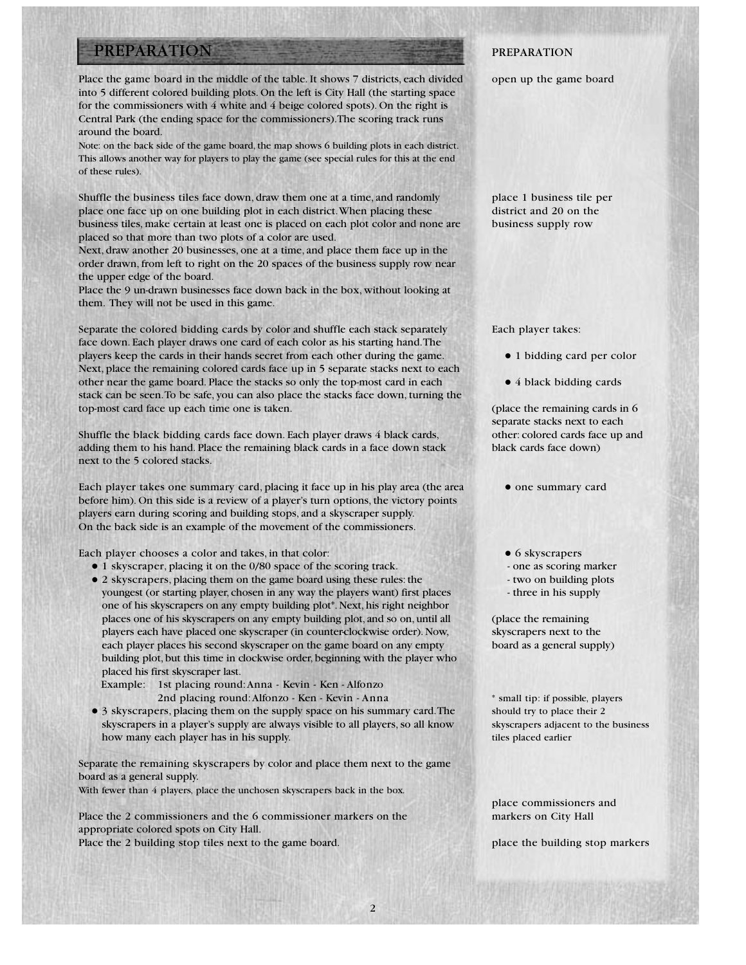# PREPARATION

Place the game board in the middle of the table. It shows 7 districts, each divided into 5 different colored building plots. On the left is City Hall (the starting space for the commissioners with 4 white and 4 beige colored spots). On the right is Central Park (the ending space for the commissioners).The scoring track runs around the board.

Note: on the back side of the game board, the map shows 6 building plots in each district. This allows another way for players to play the game (see special rules for this at the end of these rules).

Shuffle the business tiles face down, draw them one at a time, and randomly place one face up on one building plot in each district.When placing these business tiles, make certain at least one is placed on each plot color and none are placed so that more than two plots of a color are used.

Next, draw another 20 businesses, one at a time, and place them face up in the order drawn, from left to right on the 20 spaces of the business supply row near the upper edge of the board.

Place the 9 un-drawn businesses face down back in the box, without looking at them. They will not be used in this game.

Separate the colored bidding cards by color and shuffle each stack separately face down. Each player draws one card of each color as his starting hand.The players keep the cards in their hands secret from each other during the game. Next, place the remaining colored cards face up in 5 separate stacks next to each other near the game board. Place the stacks so only the top-most card in each stack can be seen.To be safe, you can also place the stacks face down, turning the top-most card face up each time one is taken.

Shuffle the black bidding cards face down. Each player draws 4 black cards, adding them to his hand. Place the remaining black cards in a face down stack next to the 5 colored stacks.

Each player takes one summary card, placing it face up in his play area (the area before him). On this side is a review of a player's turn options, the victory points players earn during scoring and building stops, and a skyscraper supply. On the back side is an example of the movement of the commissioners.

Each player chooses a color and takes, in that color:

- $\bullet$  1 skyscraper, placing it on the 0/80 space of the scoring track.
- 2 skyscrapers, placing them on the game board using these rules: the youngest (or starting player, chosen in any way the players want) first places one of his skyscrapers on any empty building plot\*. Next, his right neighbor places one of his skyscrapers on any empty building plot, and so on, until all players each have placed one skyscraper (in counter-clockwise order). Now, each player places his second skyscraper on the game board on any empty building plot, but this time in clockwise order, beginning with the player who placed his first skyscraper last.

Example: 1st placing round:Anna - Kevin - Ken - Alfonzo 2nd placing round:Alfonzo - Ken - Kevin - Anna

• 3 skyscrapers, placing them on the supply space on his summary card. The skyscrapers in a player's supply are always visible to all players, so all know how many each player has in his supply.

Separate the remaining skyscrapers by color and place them next to the game board as a general supply.

With fewer than 4 players, place the unchosen skyscrapers back in the box.

Place the 2 commissioners and the 6 commissioner markers on the appropriate colored spots on City Hall.

Place the 2 building stop tiles next to the game board.

### PREPARATION

open up the game board

place 1 business tile per district and 20 on the business supply row

Each player takes:

- 1 bidding card per color
- 4 black bidding cards

(place the remaining cards in 6 separate stacks next to each other: colored cards face up and black cards face down)

- one summary card
- $\bullet$  6 skyscrapers
- one as scoring marker
- two on building plots
- three in his supply

(place the remaining skyscrapers next to the board as a general supply)

\* small tip: if possible, players should try to place their 2 skyscrapers adjacent to the business tiles placed earlier

place commissioners and markers on City Hall

place the building stop markers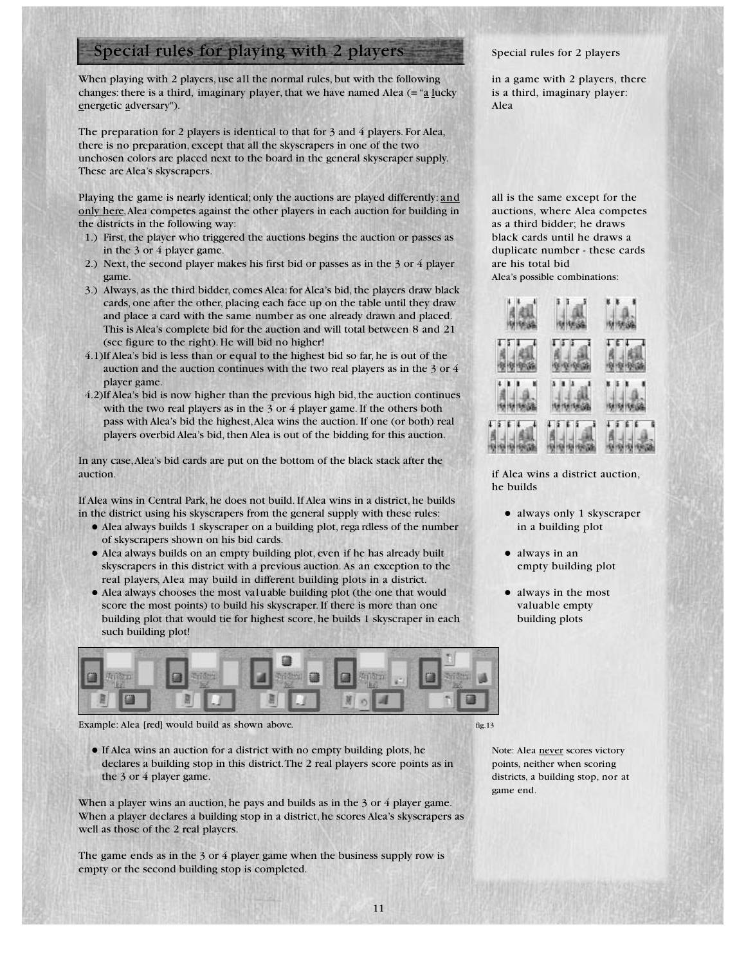# Special rules for playing with 2 players

When playing with 2 players, use all the normal rules, but with the following changes: there is a third, imaginary player, that we have named Alea  $(=\alpha_2)$  lucky energetic adversary").

The preparation for 2 players is identical to that for 3 and 4 players. For Alea, there is no preparation, except that all the skyscrapers in one of the two unchosen colors are placed next to the board in the general skyscraper supply. These are Alea's skyscrapers.

Playing the game is nearly identical; only the auctions are played differently: and only here,Alea competes against the other players in each auction for building in the districts in the following way:

- 1.) First, the player who triggered the auctions begins the auction or passes as in the 3 or 4 player game.
- 2.) Next, the second player makes his first bid or passes as in the 3 or 4 player game.
- 3.) Always, as the third bidder, comes Alea: for Alea's bid, the players draw black cards, one after the other, placing each face up on the table until they draw and place a card with the same number as one already drawn and placed. This is Alea's complete bid for the auction and will total between 8 and 21 (see figure to the right). He will bid no higher!
- 4.1)If Alea's bid is less than or equal to the highest bid so far, he is out of the auction and the auction continues with the two real players as in the 3 or 4 player game.
- 4.2)If Alea's bid is now higher than the previous high bid, the auction continues with the two real players as in the 3 or 4 player game. If the others both pass with Alea's bid the highest,Alea wins the auction. If one (or both) real players overbid Alea's bid, then Alea is out of the bidding for this auction.

In any case,Alea's bid cards are put on the bottom of the black stack after the auction.

If Alea wins in Central Park, he does not build. If Alea wins in a district, he builds in the district using his skyscrapers from the general supply with these rules:

- Alea always builds 1 skyscraper on a building plot, rega rdless of the number of skyscrapers shown on his bid cards.
- Alea always builds on an empty building plot, even if he has already built skyscrapers in this district with a previous auction. As an exception to the real players, Alea may build in different building plots in a district.
- Alea always chooses the most valuable building plot (the one that would score the most points) to build his skyscraper. If there is more than one building plot that would tie for highest score, he builds 1 skyscraper in each such building plot!



Example: Alea [red] would build as shown above.

• If Alea wins an auction for a district with no empty building plots, he declares a building stop in this district.The 2 real players score points as in the 3 or 4 player game.

When a player wins an auction, he pays and builds as in the 3 or 4 player game. When a player declares a building stop in a district, he scores Alea's skyscrapers as well as those of the 2 real players.

The game ends as in the 3 or 4 player game when the business supply row is empty or the second building stop is completed.

### Special rules for 2 players

in a game with 2 players, there is a third, imaginary player: Alea

all is the same except for the auctions, where Alea competes as a third bidder; he draws black cards until he draws a duplicate number - these cards are his total bid

Alea's possible combinations:



if Alea wins a district auction, he builds

- always only 1 skyscraper in a building plot
- $\bullet$  always in an empty building plot
- always in the most valuable empty building plots

Note: Alea never scores victory points, neither when scoring districts, a building stop, nor at game end.

fig.13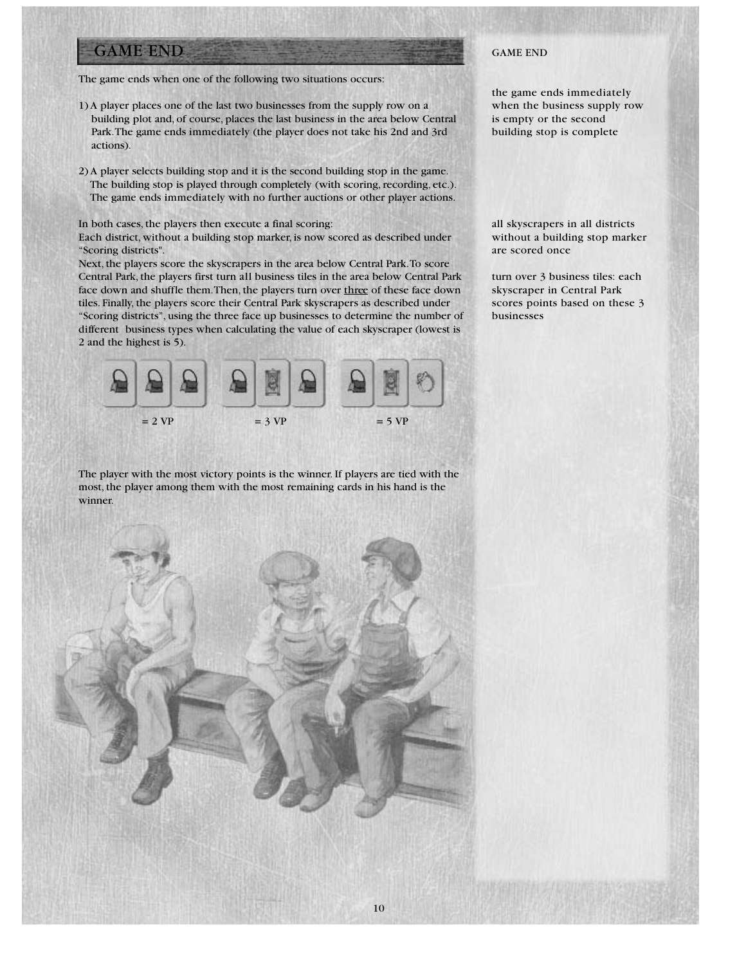# GAME END

The game ends when one of the following two situations occurs:

- 1) A player places one of the last two businesses from the supply row on a building plot and, of course, places the last business in the area below Central Park.The game ends immediately (the player does not take his 2nd and 3rd actions).
- 2) A player selects building stop and it is the second building stop in the game. The building stop is played through completely (with scoring, recording, etc.). The game ends immediately with no further auctions or other player actions.

In both cases, the players then execute a final scoring:

Each district, without a building stop marker, is now scored as described under "Scoring districts".

Next, the players score the skyscrapers in the area below Central Park.To score Central Park, the players first turn all business tiles in the area below Central Park face down and shuffle them.Then, the players turn over three of these face down tiles. Finally, the players score their Central Park skyscrapers as described under "Scoring districts", using the three face up businesses to determine the number of different business types when calculating the value of each skyscraper (lowest is 2 and the highest is 5).



The player with the most victory points is the winner. If players are tied with the most, the player among them with the most remaining cards in his hand is the winner.



### GAME END

the game ends immediately when the business supply row is empty or the second building stop is complete

all skyscrapers in all districts without a building stop marker are scored once

turn over 3 business tiles: each skyscraper in Central Park scores points based on these 3 businesses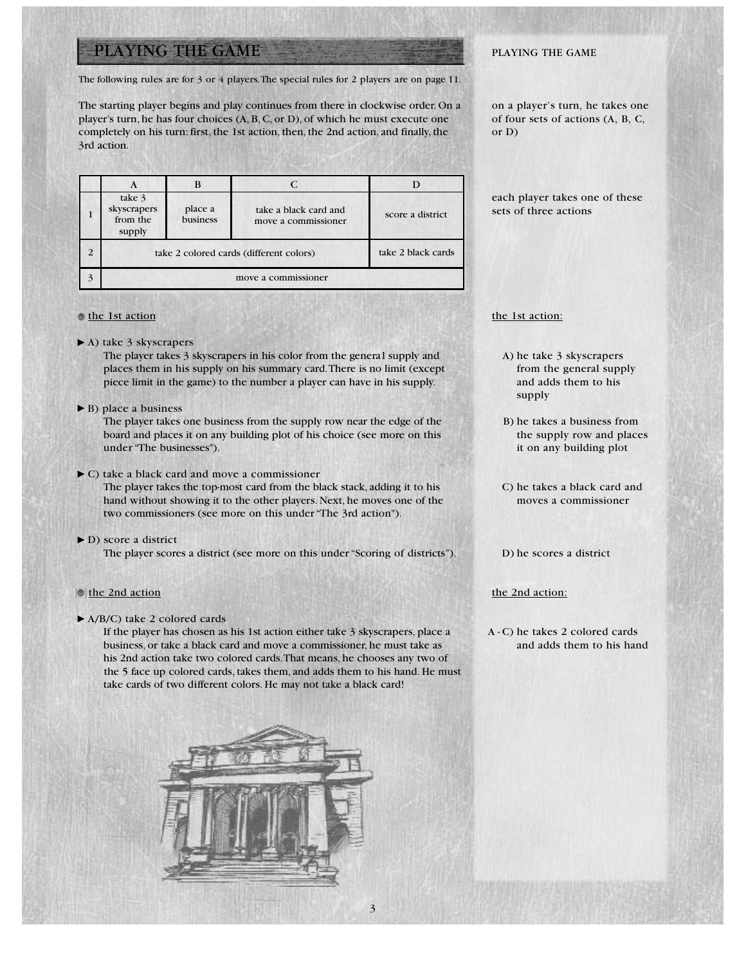# PLAYING THE GAME

The following rules are for 3 or 4 players.The special rules for 2 players are on page 11.

The starting player begins and play continues from there in clockwise order. On a player's turn, he has four choices (A, B, C, or D), of which he must execute one completely on his turn: first, the 1st action, then, the 2nd action, and finally, the 3rd action.

|                | A                                           |                     |                                              |                    |
|----------------|---------------------------------------------|---------------------|----------------------------------------------|--------------------|
|                | take 3<br>skyscrapers<br>from the<br>supply | place a<br>business | take a black card and<br>move a commissioner | score a district   |
| $\overline{2}$ | take 2 colored cards (different colors)     |                     |                                              | take 2 black cards |
| 3              | move a commissioner                         |                     |                                              |                    |

#### the 1st action

A) take 3 skyscrapers

The player takes 3 skyscrapers in his color from the general supply and places them in his supply on his summary card.There is no limit (except piece limit in the game) to the number a player can have in his supply.

▶ B) place a business

The player takes one business from the supply row near the edge of the board and places it on any building plot of his choice (see more on this under "The businesses").

C) take a black card and move a commissioner

The player takes the top-most card from the black stack, adding it to his hand without showing it to the other players. Next, he moves one of the two commissioners (see more on this under "The 3rd action").

D) score a district The player scores a district (see more on this under "Scoring of districts").

### the 2nd action

▶ A/B/C) take 2 colored cards

If the player has chosen as his 1st action either take 3 skyscrapers, place a business, or take a black card and move a commissioner, he must take as his 2nd action take two colored cards.That means, he chooses any two of the 5 face up colored cards, takes them, and adds them to his hand. He must take cards of two different colors. He may not take a black card!



### PLAYING THE GAME

on a player's turn, he takes one of four sets of actions (A, B, C, or D)

each player takes one of these sets of three actions

### the 1st action:

- A) he take 3 skyscrapers from the general supply and adds them to his supply
- B) he takes a business from the supply row and places it on any building plot
- C) he takes a black card and moves a commissioner
- D) he scores a district

#### the 2nd action:

A - C) he takes 2 colored cards and adds them to his hand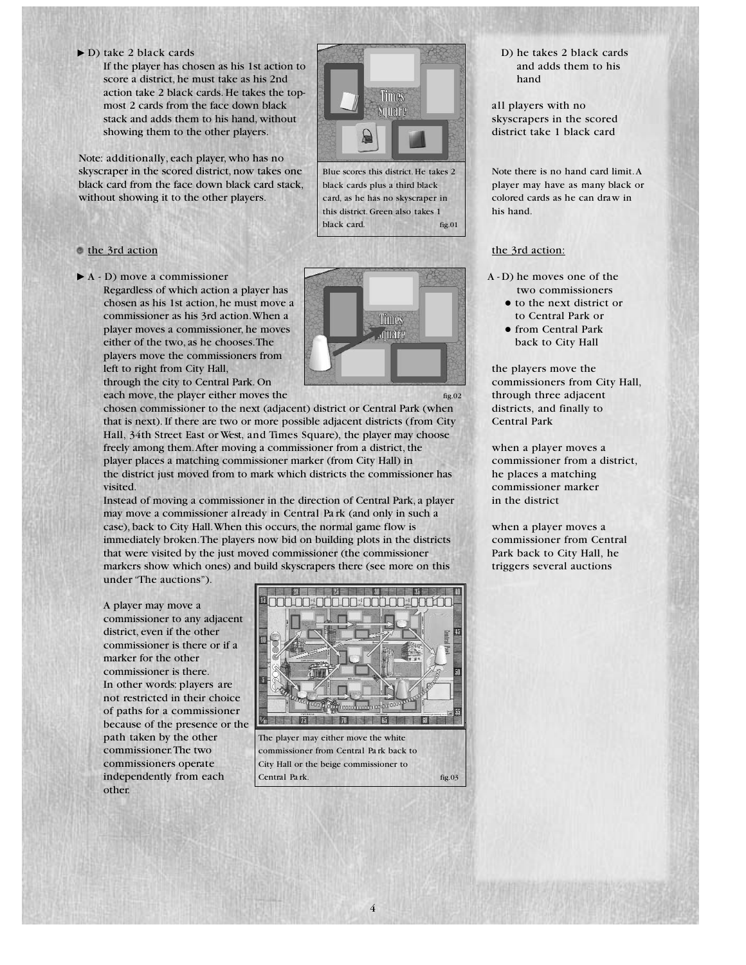D) take 2 black cards

If the player has chosen as his 1st action to score a district, he must take as his 2nd action take 2 black cards. He takes the topmost 2 cards from the face down black stack and adds them to his hand, without showing them to the other players.

Note: additionally, each player, who has no skyscraper in the scored district, now takes one black card from the face down black card stack, without showing it to the other players.

### the 3rd action

A - D) move a commissioner

Regardless of which action a player has chosen as his 1st action, he must move a commissioner as his 3rd action.When a player moves a commissioner, he moves either of the two, as he chooses.The players move the commissioners from left to right from City Hall,



Blue scores this district. He takes 2 black cards plus a third black card, as he has no skyscraper in this district. Green also takes 1

**Fimes** Nmare

fig.01

black card.

through the city to Central Park. On each move, the player either moves the

chosen commissioner to the next (adjacent) district or Central Park (when that is next). If there are two or more possible adjacent districts (from City Hall, 34th Street East or West, and Times Square), the player may choose freely among them.After moving a commissioner from a district, the player places a matching commissioner marker (from City Hall) in the district just moved from to mark which districts the commissioner has visited.

Instead of moving a commissioner in the direction of Central Park, a player may move a commissioner already in Central Pa rk (and only in such a case), back to City Hall.When this occurs, the normal game flow is immediately broken.The players now bid on building plots in the districts that were visited by the just moved commissioner (the commissioner markers show which ones) and build skyscrapers there (see more on this under "The auctions").

A player may move a commissioner to any adjacent district, even if the other commissioner is there or if a marker for the other commissioner is there. In other words: players are not restricted in their choice of paths for a commissioner because of the presence or the path taken by the other commissioner.The two commissioners operate independently from each other.



The player may either move the white commissioner from Central Pa rk back to City Hall or the beige commissioner to Central Pa rk.

4

fig.03

D) he takes 2 black cards and adds them to his hand

all players with no skyscrapers in the scored district take 1 black card

Note there is no hand card limit.A player may have as many black or colored cards as he can draw in his hand.

### the 3rd action:

- A D) he moves one of the two commissioners
	- $\bullet$  to the next district or to Central Park or
	- **•** from Central Park back to City Hall

the players move the commissioners from City Hall, through three adjacent districts, and finally to Central Park

when a player moves a commissioner from a district, he places a matching commissioner marker in the district

when a player moves a commissioner from Central Park back to City Hall, he triggers several auctions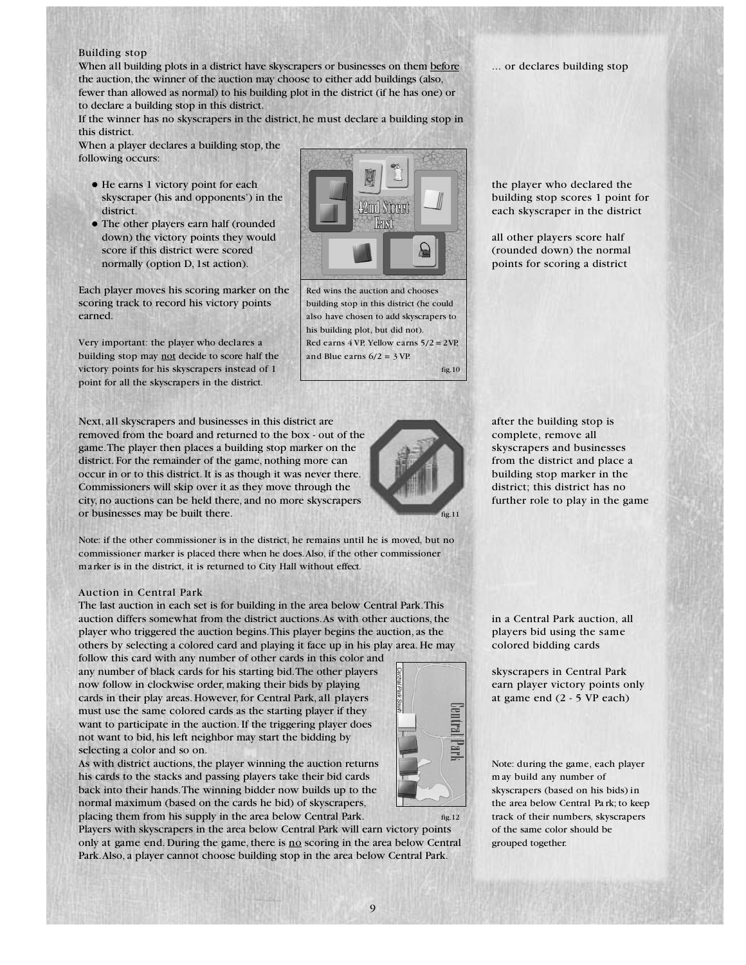### Building stop

When all building plots in a district have skyscrapers or businesses on them before the auction, the winner of the auction may choose to either add buildings (also, fewer than allowed as normal) to his building plot in the district (if he has one) or to declare a building stop in this district.

If the winner has no skyscrapers in the district, he must declare a building stop in this district.

When a player declares a building stop, the following occurs:

- He earns 1 victory point for each skyscraper (his and opponents') in the district.
- The other players earn half (rounded down) the victory points they would score if this district were scored normally (option D, 1st action).

Each player moves his scoring marker on the scoring track to record his victory points earned.

Very important: the player who declares a building stop may not decide to score half the victory points for his skyscrapers instead of 1 point for all the skyscrapers in the district.

Next, all skyscrapers and businesses in this district are removed from the board and returned to the box - out of the game.The player then places a building stop marker on the district. For the remainder of the game, nothing more can occur in or to this district. It is as though it was never there. Commissioners will skip over it as they move through the city, no auctions can be held there, and no more skyscrapers or businesses may be built there.

Note: if the other commissioner is in the district, he remains until he is moved, but no commissioner marker is placed there when he does.Also, if the other commissioner marker is in the district, it is returned to City Hall without effect.

#### Auction in Central Park

The last auction in each set is for building in the area below Central Park.This auction differs somewhat from the district auctions.As with other auctions, the player who triggered the auction begins.This player begins the auction, as the others by selecting a colored card and playing it face up in his play area. He may

follow this card with any number of other cards in this color and any number of black cards for his starting bid.The other players now follow in clockwise order, making their bids by playing cards in their play areas. However, for Central Park, all players must use the same colored cards as the starting player if they want to participate in the auction. If the triggering player does not want to bid, his left neighbor may start the bidding by selecting a color and so on.

As with district auctions, the player winning the auction returns his cards to the stacks and passing players take their bid cards back into their hands.The winning bidder now builds up to the normal maximum (based on the cards he bid) of skyscrapers, placing them from his supply in the area below Central Park.

Players with skyscrapers in the area below Central Park will earn victory points only at game end. During the game, there is no scoring in the area below Central Park.Also, a player cannot choose building stop in the area below Central Park.



... or declares building stop

the player who declared the building stop scores 1 point for each skyscraper in the district

all other players score half (rounded down) the normal points for scoring a district

after the building stop is complete, remove all skyscrapers and businesses from the district and place a building stop marker in the district; this district has no further role to play in the game

in a Central Park auction, all players bid using the same colored bidding cards

skyscrapers in Central Park earn player victory points only at game end (2 - 5 VP each)

Note: during the game, each player m ay build any number of skyscrapers (based on his bids) in the area below Central Pa rk; to keep track of their numbers, skyscrapers of the same color should be grouped together.

Red wins the auction and chooses building stop in this district (he could also have chosen to add skyscrapers to his building plot, but did not). Red earns 4 VP, Yellow earns 5/2 = 2 VP,

and Blue earns  $6/2 = 3$  VP.

fig.10

fig.11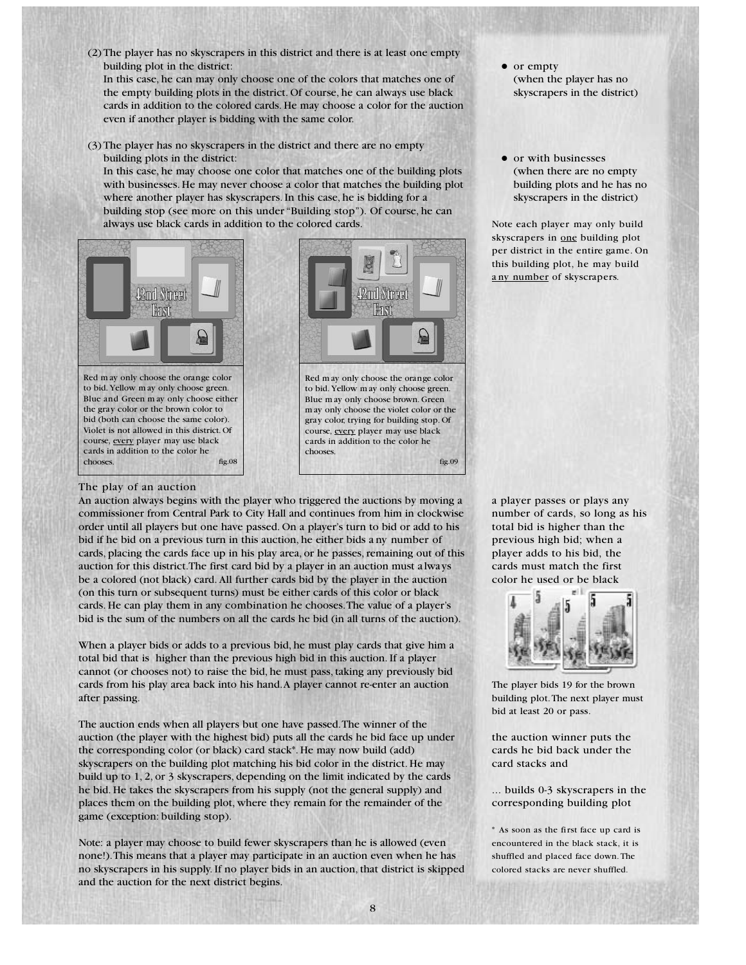(2) The player has no skyscrapers in this district and there is at least one empty building plot in the district:

In this case, he can may only choose one of the colors that matches one of the empty building plots in the district. Of course, he can always use black cards in addition to the colored cards. He may choose a color for the auction even if another player is bidding with the same color.

(3) The player has no skyscrapers in the district and there are no empty building plots in the district:

In this case, he may choose one color that matches one of the building plots with businesses. He may never choose a color that matches the building plot where another player has skyscrapers. In this case, he is bidding for a building stop (see more on this under "Building stop"). Of course, he can always use black cards in addition to the colored cards.



to bid. Yellow m ay only choose green. Blue and Green m ay only choose either the gray color or the brown color to bid (both can choose the same color). Violet is not allowed in this district. Of course, every player may use black cards in addition to the color he chooses. fig.08

#### The play of an auction



to bid. Yellow m ay only choose green. Blue m ay only choose brown. Green m ay only choose the violet color or the gray color, trying for building stop. Of course, every player may use black cards in addition to the color he chooses. fig.09

- $\bullet$  or empty (when the player has no skyscrapers in the district)
- or with businesses (when there are no empty building plots and he has no skyscrapers in the district)

Note each player may only build skyscrapers in one building plot per district in the entire game. On this building plot, he may build a ny number of skyscrapers.

a player passes or plays any number of cards, so long as his total bid is higher than the previous high bid; when a player adds to his bid, the cards must match the first color he used or be black



The player bids 19 for the brown building plot.The next player must bid at least 20 or pass.

the auction winner puts the cards he bid back under the card stacks and

... builds 0-3 skyscrapers in the corresponding building plot

\* As soon as the first face up card is encountered in the black stack, it is shuffled and placed face down. The colored stacks are never shuffled.

### An auction always begins with the player who triggered the auctions by moving a

commissioner from Central Park to City Hall and continues from him in clockwise order until all players but one have passed. On a player's turn to bid or add to his bid if he bid on a previous turn in this auction, he either bids a ny number of cards, placing the cards face up in his play area, or he passes, remaining out of this auction for this district.The first card bid by a player in an auction must a lways be a colored (not black) card. All further cards bid by the player in the auction (on this turn or subsequent turns) must be either cards of this color or black cards. He can play them in any combination he chooses.The value of a player's bid is the sum of the numbers on all the cards he bid (in all turns of the auction).

When a player bids or adds to a previous bid, he must play cards that give him a total bid that is higher than the previous high bid in this auction. If a player cannot (or chooses not) to raise the bid, he must pass, taking any previously bid cards from his play area back into his hand.A player cannot re-enter an auction after passing.

The auction ends when all players but one have passed.The winner of the auction (the player with the highest bid) puts all the cards he bid face up under the corresponding color (or black) card stack\*. He may now build (add) skyscrapers on the building plot matching his bid color in the district. He may build up to 1, 2, or 3 skyscrapers, depending on the limit indicated by the cards he bid. He takes the skyscrapers from his supply (not the general supply) and places them on the building plot, where they remain for the remainder of the game (exception: building stop).

Note: a player may choose to build fewer skyscrapers than he is allowed (even none!).This means that a player may participate in an auction even when he has no skyscrapers in his supply. If no player bids in an auction, that district is skipped and the auction for the next district begins.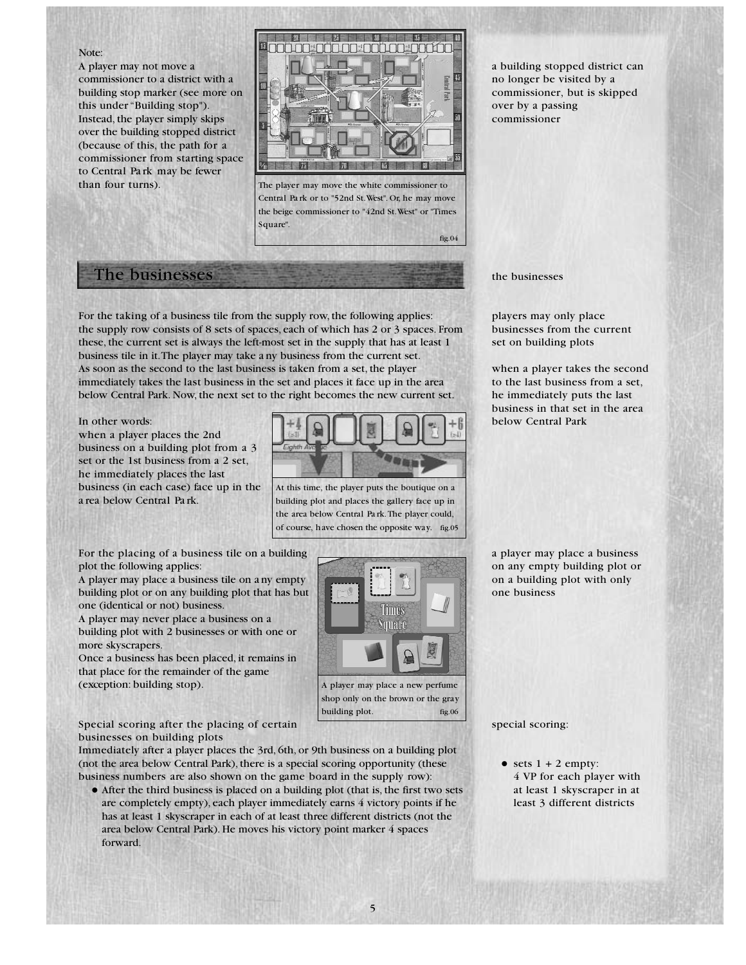#### Note:

A player may not move a commissioner to a district with a building stop marker (see more on this under "Building stop"). Instead, the player simply skips over the building stopped district (because of this, the path for a commissioner from starting space to Central Pa rk may be fewer than four turns).



The player may move the white commissioner to Central Pa rk or to "52nd St.West". Or, he may move the beige commissioner to "42nd St.West" or "Times Square".

# The businesses

For the taking of a business tile from the supply row, the following applies: the supply row consists of 8 sets of spaces, each of which has 2 or 3 spaces. From these, the current set is always the left-most set in the supply that has at least 1 business tile in it.The player may take a ny business from the current set. As soon as the second to the last business is taken from a set, the player immediately takes the last business in the set and places it face up in the area below Central Park. Now, the next set to the right becomes the new current set.

In other words:

when a player places the 2nd business on a building plot from a 3 set or the 1st business from a 2 set, he immediately places the last business (in each case) face up in the a rea below Central Pa rk.



At this time, the player puts the boutique on a building plot and places the gallery face up in the area below Central Pa rk.The player could, of course, have chosen the opposite way. fig.05

For the placing of a business tile on a building plot the following applies:

A player may place a business tile on a ny empty building plot or on any building plot that has but one (identical or not) business.

A player may never place a business on a building plot with 2 businesses or with one or more skyscrapers.

Once a business has been placed, it remains in that place for the remainder of the game (exception: building stop).



fig.06

building plot.

Special scoring after the placing of certain businesses on building plots

Immediately after a player places the 3rd, 6th, or 9th business on a building plot (not the area below Central Park), there is a special scoring opportunity (these business numbers are also shown on the game board in the supply row):

• After the third business is placed on a building plot (that is, the first two sets are completely empty), each player immediately earns 4 victory points if he has at least 1 skyscraper in each of at least three different districts (not the area below Central Park). He moves his victory point marker 4 spaces forward.

a building stopped district can no longer be visited by a commissioner, but is skipped over by a passing commissioner

the businesses

fig.04

players may only place businesses from the current set on building plots

when a player takes the second to the last business from a set, he immediately puts the last business in that set in the area below Central Park

a player may place a business on any empty building plot or on a building plot with only one business

special scoring:

 $\bullet$  sets  $1 + 2$  empty: 4 VP for each player with at least 1 skyscraper in at least 3 different districts

5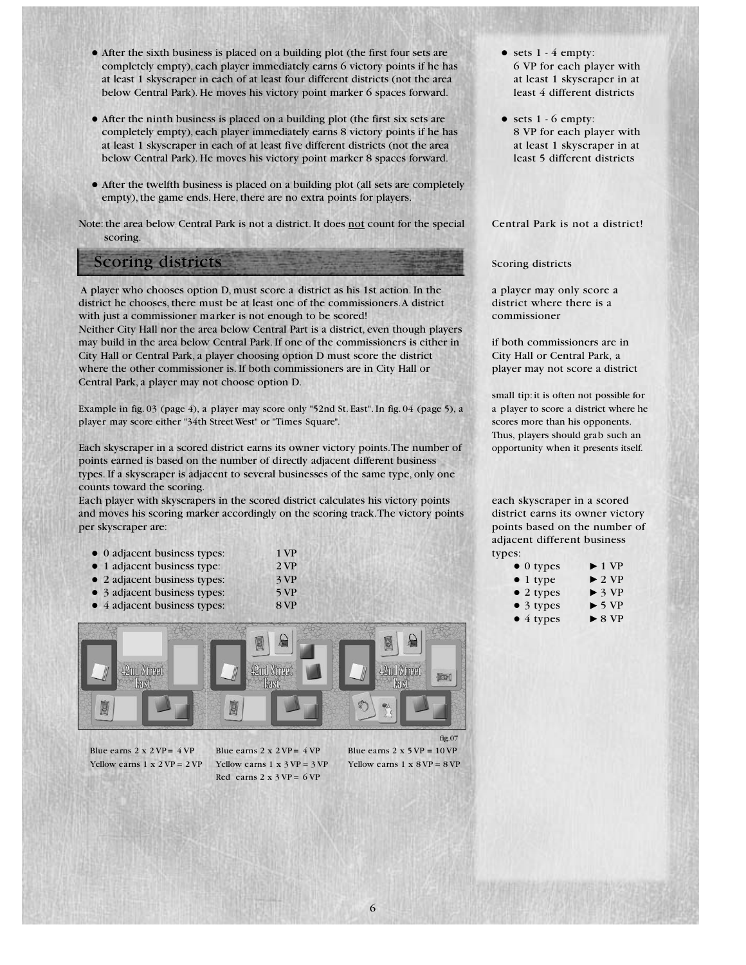- After the sixth business is placed on a building plot (the first four sets are completely empty), each player immediately earns 6 victory points if he has at least 1 skyscraper in each of at least four different districts (not the area below Central Park). He moves his victory point marker 6 spaces forward.
- After the ninth business is placed on a building plot (the first six sets are completely empty), each player immediately earns 8 victory points if he has at least 1 skyscraper in each of at least five different districts (not the area below Central Park). He moves his victory point marker 8 spaces forward.
- After the twelfth business is placed on a building plot (all sets are completely empty), the game ends. Here, there are no extra points for players.

Note: the area below Central Park is not a district. It does not count for the special scoring.

## Scoring districts

A player who chooses option D, must score a district as his 1st action. In the district he chooses, there must be at least one of the commissioners.A district with just a commissioner marker is not enough to be scored! Neither City Hall nor the area below Central Part is a district, even though players may build in the area below Central Park. If one of the commissioners is either in City Hall or Central Park, a player choosing option D must score the district where the other commissioner is. If both commissioners are in City Hall or Central Park, a player may not choose option D.

Example in fig. 03 (page 4), a player may score only "52nd St. East". In fig. 04 (page 5), a player may score either "34th Street West" or "Times Square".

Each skyscraper in a scored district earns its owner victory points.The number of points earned is based on the number of directly adjacent different business types. If a skyscraper is adjacent to several businesses of the same type, only one counts toward the scoring.

Each player with skyscrapers in the scored district calculates his victory points and moves his scoring marker accordingly on the scoring track.The victory points per skyscraper are:

| • 0 adjacent business types: | 1 VP |
|------------------------------|------|
|------------------------------|------|

- 1 adjacent business type: 2 VP
- 2 adjacent business types: 3 VP
- 3 adjacent business types: 5 VP
- 4 adjacent business types: 8 VP



Blue earns  $2 \times 2 \text{VP} = 4 \text{VP}$ Yellow earns  $1 \times 2VP = 2VP$ 

Blue earns  $2 \times 2 \text{ VP} = 4 \text{ VP}$ Yellow earns  $1 \times 3$  VP =  $3$  VP Red earns  $2 \times 3 \text{ VP} = 6 \text{ VP}$ 

 $\bullet$  sets  $1 - 4$  empty: 6 VP for each player with at least 1 skyscraper in at least 4 different districts

 $\bullet$  sets 1 - 6 empty: 8 VP for each player with at least 1 skyscraper in at least 5 different districts

Central Park is not a district!

Scoring districts

a player may only score a district where there is a commissioner

if both commissioners are in City Hall or Central Park, a player may not score a district

small tip: it is often not possible for a player to score a district where he scores more than his opponents. Thus, players should grab such an opportunity when it presents itself.

each skyscraper in a scored district earns its owner victory points based on the number of adjacent different business types:

| $\bullet$ 0 types | $\blacktriangleright$ 1 VP |
|-------------------|----------------------------|
| $\bullet$ 1 type  | $\triangleright$ 2 VP      |
| • 2 types         | $\triangleright$ 3 VP      |
| $\bullet$ 3 types | $\triangleright$ 5 VP      |
| $\bullet$ 4 types | $\triangleright$ 8 VP      |

Yellow earns  $1 \times 8$  VP =  $8$  VP